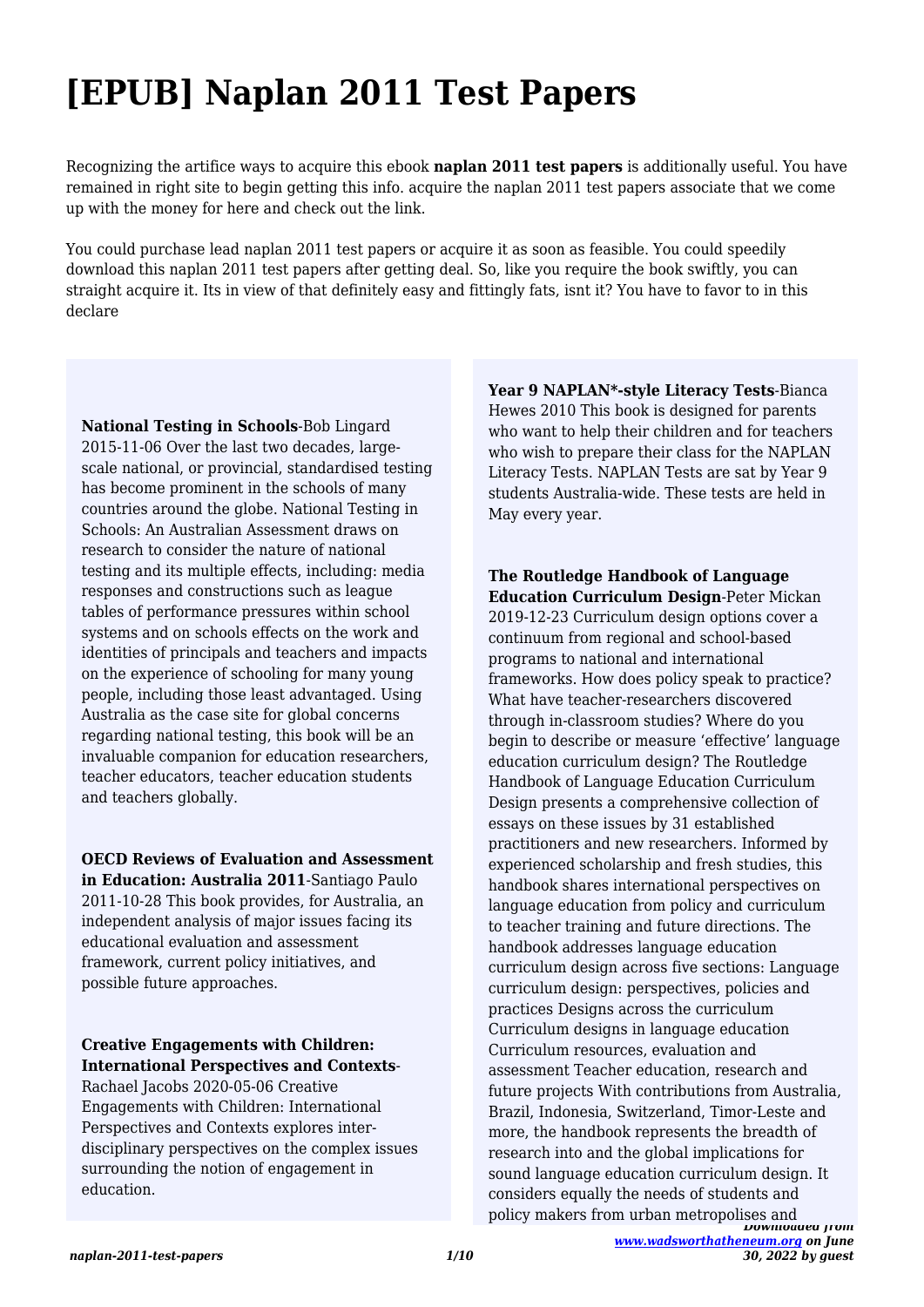# **[EPUB] Naplan 2011 Test Papers**

Recognizing the artifice ways to acquire this ebook **naplan 2011 test papers** is additionally useful. You have remained in right site to begin getting this info. acquire the naplan 2011 test papers associate that we come up with the money for here and check out the link.

You could purchase lead naplan 2011 test papers or acquire it as soon as feasible. You could speedily download this naplan 2011 test papers after getting deal. So, like you require the book swiftly, you can straight acquire it. Its in view of that definitely easy and fittingly fats, isnt it? You have to favor to in this declare

**National Testing in Schools**-Bob Lingard 2015-11-06 Over the last two decades, largescale national, or provincial, standardised testing has become prominent in the schools of many countries around the globe. National Testing in Schools: An Australian Assessment draws on research to consider the nature of national testing and its multiple effects, including: media responses and constructions such as league tables of performance pressures within school systems and on schools effects on the work and identities of principals and teachers and impacts on the experience of schooling for many young people, including those least advantaged. Using Australia as the case site for global concerns regarding national testing, this book will be an invaluable companion for education researchers, teacher educators, teacher education students and teachers globally.

**OECD Reviews of Evaluation and Assessment in Education: Australia 2011**-Santiago Paulo 2011-10-28 This book provides, for Australia, an independent analysis of major issues facing its educational evaluation and assessment framework, current policy initiatives, and possible future approaches.

**Creative Engagements with Children: International Perspectives and Contexts**-

Rachael Jacobs 2020-05-06 Creative Engagements with Children: International Perspectives and Contexts explores interdisciplinary perspectives on the complex issues surrounding the notion of engagement in education.

**Year 9 NAPLAN\*-style Literacy Tests**-Bianca Hewes 2010 This book is designed for parents who want to help their children and for teachers who wish to prepare their class for the NAPLAN Literacy Tests. NAPLAN Tests are sat by Year 9 students Australia-wide. These tests are held in May every year.

*Downloaded from* **The Routledge Handbook of Language Education Curriculum Design**-Peter Mickan 2019-12-23 Curriculum design options cover a continuum from regional and school-based programs to national and international frameworks. How does policy speak to practice? What have teacher-researchers discovered through in-classroom studies? Where do you begin to describe or measure 'effective' language education curriculum design? The Routledge Handbook of Language Education Curriculum Design presents a comprehensive collection of essays on these issues by 31 established practitioners and new researchers. Informed by experienced scholarship and fresh studies, this handbook shares international perspectives on language education from policy and curriculum to teacher training and future directions. The handbook addresses language education curriculum design across five sections: Language curriculum design: perspectives, policies and practices Designs across the curriculum Curriculum designs in language education Curriculum resources, evaluation and assessment Teacher education, research and future projects With contributions from Australia, Brazil, Indonesia, Switzerland, Timor-Leste and more, the handbook represents the breadth of research into and the global implications for sound language education curriculum design. It considers equally the needs of students and policy makers from urban metropolises and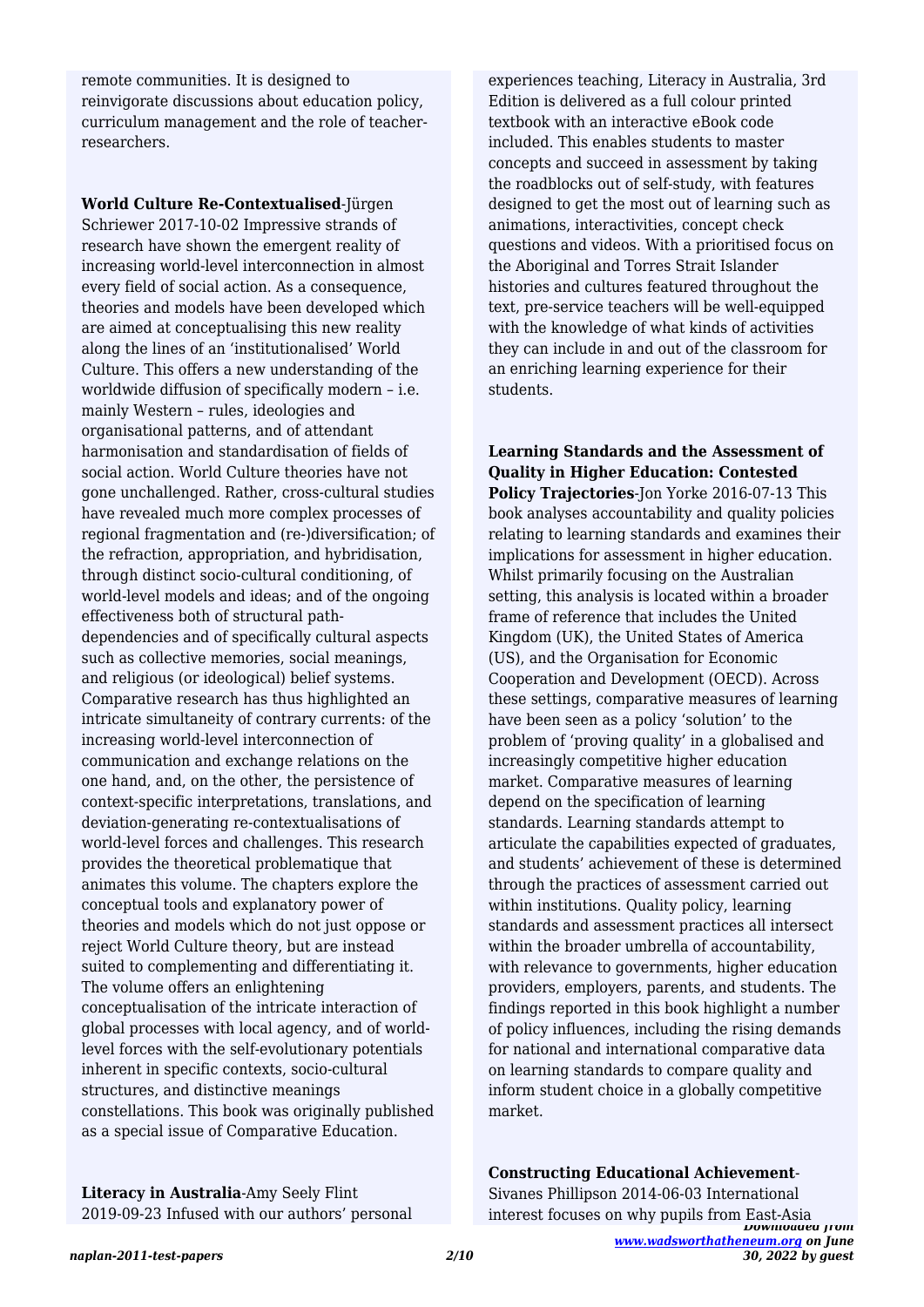remote communities. It is designed to reinvigorate discussions about education policy, curriculum management and the role of teacherresearchers.

**World Culture Re-Contextualised**-Jürgen Schriewer 2017-10-02 Impressive strands of research have shown the emergent reality of increasing world-level interconnection in almost every field of social action. As a consequence, theories and models have been developed which are aimed at conceptualising this new reality along the lines of an 'institutionalised' World Culture. This offers a new understanding of the worldwide diffusion of specifically modern – i.e. mainly Western – rules, ideologies and organisational patterns, and of attendant harmonisation and standardisation of fields of social action. World Culture theories have not gone unchallenged. Rather, cross-cultural studies have revealed much more complex processes of regional fragmentation and (re-)diversification; of the refraction, appropriation, and hybridisation, through distinct socio-cultural conditioning, of world-level models and ideas; and of the ongoing effectiveness both of structural pathdependencies and of specifically cultural aspects such as collective memories, social meanings, and religious (or ideological) belief systems. Comparative research has thus highlighted an intricate simultaneity of contrary currents: of the increasing world-level interconnection of communication and exchange relations on the one hand, and, on the other, the persistence of context-specific interpretations, translations, and deviation-generating re-contextualisations of world-level forces and challenges. This research provides the theoretical problematique that animates this volume. The chapters explore the conceptual tools and explanatory power of theories and models which do not just oppose or reject World Culture theory, but are instead suited to complementing and differentiating it. The volume offers an enlightening conceptualisation of the intricate interaction of global processes with local agency, and of worldlevel forces with the self-evolutionary potentials inherent in specific contexts, socio-cultural structures, and distinctive meanings constellations. This book was originally published as a special issue of Comparative Education.

**Literacy in Australia**-Amy Seely Flint 2019-09-23 Infused with our authors' personal

experiences teaching, Literacy in Australia, 3rd Edition is delivered as a full colour printed textbook with an interactive eBook code included. This enables students to master concepts and succeed in assessment by taking the roadblocks out of self-study, with features designed to get the most out of learning such as animations, interactivities, concept check questions and videos. With a prioritised focus on the Aboriginal and Torres Strait Islander histories and cultures featured throughout the text, pre-service teachers will be well-equipped with the knowledge of what kinds of activities they can include in and out of the classroom for an enriching learning experience for their students.

**Learning Standards and the Assessment of Quality in Higher Education: Contested Policy Trajectories**-Jon Yorke 2016-07-13 This book analyses accountability and quality policies relating to learning standards and examines their implications for assessment in higher education. Whilst primarily focusing on the Australian setting, this analysis is located within a broader frame of reference that includes the United Kingdom (UK), the United States of America (US), and the Organisation for Economic Cooperation and Development (OECD). Across these settings, comparative measures of learning have been seen as a policy 'solution' to the problem of 'proving quality' in a globalised and increasingly competitive higher education market. Comparative measures of learning depend on the specification of learning standards. Learning standards attempt to articulate the capabilities expected of graduates, and students' achievement of these is determined through the practices of assessment carried out within institutions. Quality policy, learning standards and assessment practices all intersect within the broader umbrella of accountability, with relevance to governments, higher education providers, employers, parents, and students. The findings reported in this book highlight a number of policy influences, including the rising demands for national and international comparative data on learning standards to compare quality and inform student choice in a globally competitive market.

*Downloaded from [www.wadsworthatheneum.org](http://www.wadsworthatheneum.org) on June 30, 2022 by guest* **Constructing Educational Achievement**-Sivanes Phillipson 2014-06-03 International interest focuses on why pupils from East-Asia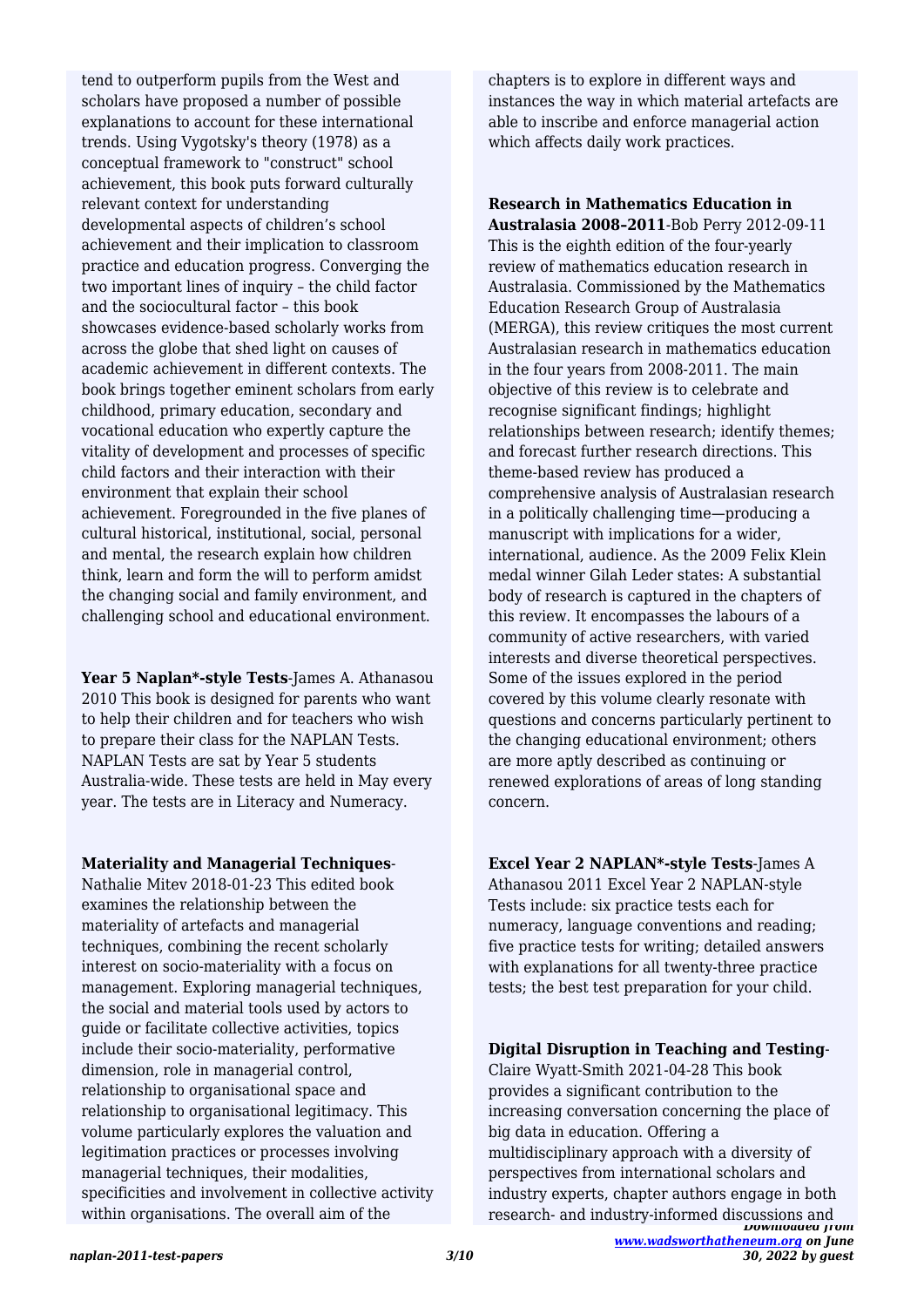tend to outperform pupils from the West and scholars have proposed a number of possible explanations to account for these international trends. Using Vygotsky's theory (1978) as a conceptual framework to "construct" school achievement, this book puts forward culturally relevant context for understanding developmental aspects of children's school achievement and their implication to classroom practice and education progress. Converging the two important lines of inquiry – the child factor and the sociocultural factor – this book showcases evidence-based scholarly works from across the globe that shed light on causes of academic achievement in different contexts. The book brings together eminent scholars from early childhood, primary education, secondary and vocational education who expertly capture the vitality of development and processes of specific child factors and their interaction with their environment that explain their school achievement. Foregrounded in the five planes of cultural historical, institutional, social, personal and mental, the research explain how children think, learn and form the will to perform amidst the changing social and family environment, and challenging school and educational environment.

**Year 5 Naplan\*-style Tests**-James A. Athanasou 2010 This book is designed for parents who want to help their children and for teachers who wish to prepare their class for the NAPLAN Tests. NAPLAN Tests are sat by Year 5 students Australia-wide. These tests are held in May every year. The tests are in Literacy and Numeracy.

#### **Materiality and Managerial Techniques**-

Nathalie Mitev 2018-01-23 This edited book examines the relationship between the materiality of artefacts and managerial techniques, combining the recent scholarly interest on socio-materiality with a focus on management. Exploring managerial techniques, the social and material tools used by actors to guide or facilitate collective activities, topics include their socio-materiality, performative dimension, role in managerial control, relationship to organisational space and relationship to organisational legitimacy. This volume particularly explores the valuation and legitimation practices or processes involving managerial techniques, their modalities, specificities and involvement in collective activity within organisations. The overall aim of the

chapters is to explore in different ways and instances the way in which material artefacts are able to inscribe and enforce managerial action which affects daily work practices.

**Research in Mathematics Education in Australasia 2008–2011**-Bob Perry 2012-09-11 This is the eighth edition of the four-yearly review of mathematics education research in Australasia. Commissioned by the Mathematics Education Research Group of Australasia (MERGA), this review critiques the most current Australasian research in mathematics education in the four years from 2008-2011. The main objective of this review is to celebrate and recognise significant findings; highlight relationships between research; identify themes; and forecast further research directions. This theme-based review has produced a comprehensive analysis of Australasian research in a politically challenging time—producing a manuscript with implications for a wider, international, audience. As the 2009 Felix Klein medal winner Gilah Leder states: A substantial body of research is captured in the chapters of this review. It encompasses the labours of a community of active researchers, with varied interests and diverse theoretical perspectives. Some of the issues explored in the period covered by this volume clearly resonate with questions and concerns particularly pertinent to the changing educational environment; others are more aptly described as continuing or renewed explorations of areas of long standing concern.

## **Excel Year 2 NAPLAN\*-style Tests**-James A

Athanasou 2011 Excel Year 2 NAPLAN-style Tests include: six practice tests each for numeracy, language conventions and reading; five practice tests for writing; detailed answers with explanations for all twenty-three practice tests; the best test preparation for your child.

## **Digital Disruption in Teaching and Testing**-

*Downloaded from* Claire Wyatt-Smith 2021-04-28 This book provides a significant contribution to the increasing conversation concerning the place of big data in education. Offering a multidisciplinary approach with a diversity of perspectives from international scholars and industry experts, chapter authors engage in both research- and industry-informed discussions and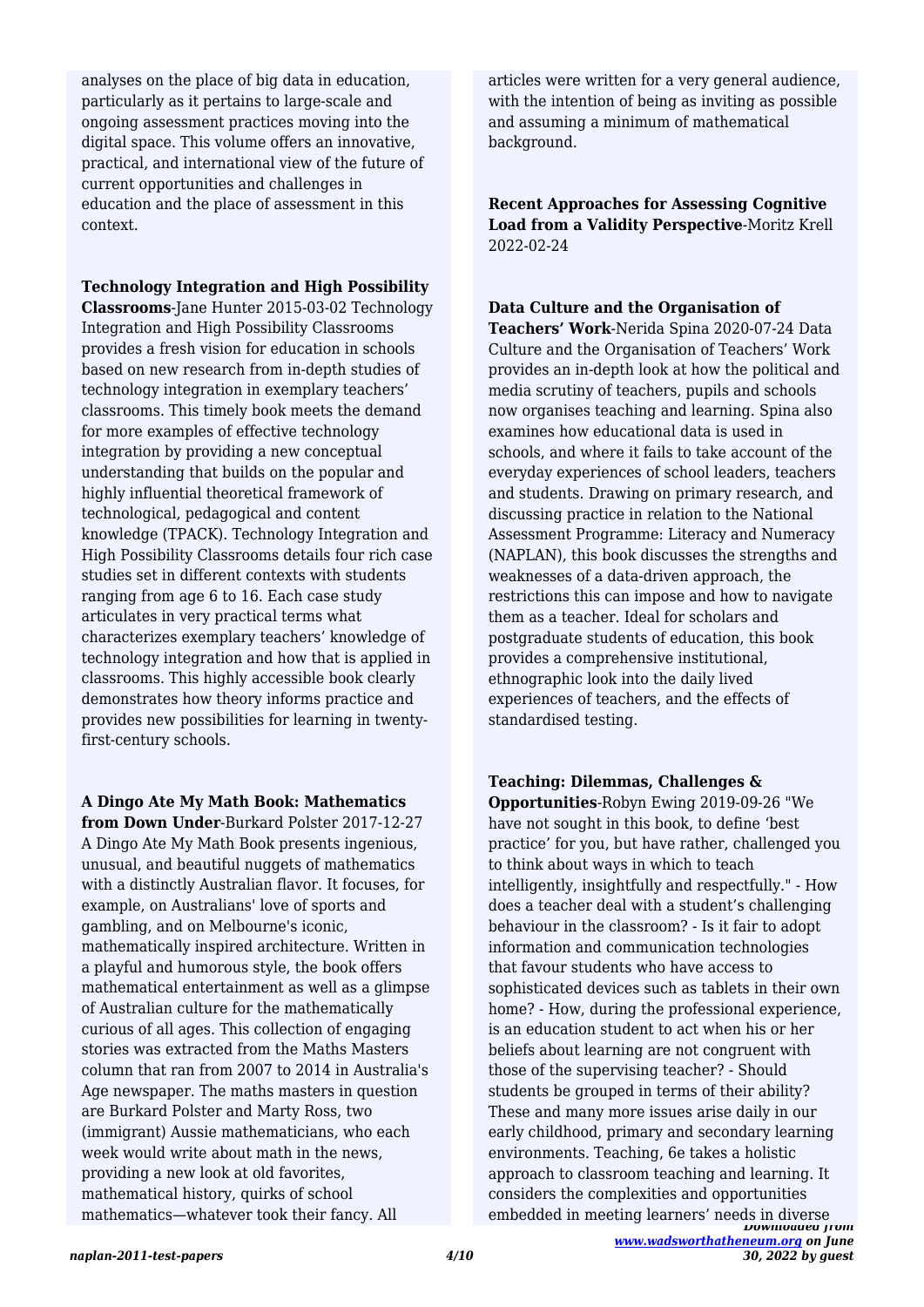analyses on the place of big data in education, particularly as it pertains to large-scale and ongoing assessment practices moving into the digital space. This volume offers an innovative, practical, and international view of the future of current opportunities and challenges in education and the place of assessment in this context.

**Technology Integration and High Possibility**

**Classrooms**-Jane Hunter 2015-03-02 Technology Integration and High Possibility Classrooms provides a fresh vision for education in schools based on new research from in-depth studies of technology integration in exemplary teachers' classrooms. This timely book meets the demand for more examples of effective technology integration by providing a new conceptual understanding that builds on the popular and highly influential theoretical framework of technological, pedagogical and content knowledge (TPACK). Technology Integration and High Possibility Classrooms details four rich case studies set in different contexts with students ranging from age 6 to 16. Each case study articulates in very practical terms what characterizes exemplary teachers' knowledge of technology integration and how that is applied in classrooms. This highly accessible book clearly demonstrates how theory informs practice and provides new possibilities for learning in twentyfirst-century schools.

**A Dingo Ate My Math Book: Mathematics**

**from Down Under**-Burkard Polster 2017-12-27 A Dingo Ate My Math Book presents ingenious, unusual, and beautiful nuggets of mathematics with a distinctly Australian flavor. It focuses, for example, on Australians' love of sports and gambling, and on Melbourne's iconic, mathematically inspired architecture. Written in a playful and humorous style, the book offers mathematical entertainment as well as a glimpse of Australian culture for the mathematically curious of all ages. This collection of engaging stories was extracted from the Maths Masters column that ran from 2007 to 2014 in Australia's Age newspaper. The maths masters in question are Burkard Polster and Marty Ross, two (immigrant) Aussie mathematicians, who each week would write about math in the news, providing a new look at old favorites, mathematical history, quirks of school mathematics—whatever took their fancy. All

articles were written for a very general audience, with the intention of being as inviting as possible and assuming a minimum of mathematical background.

**Recent Approaches for Assessing Cognitive Load from a Validity Perspective**-Moritz Krell 2022-02-24

# **Data Culture and the Organisation of**

**Teachers' Work**-Nerida Spina 2020-07-24 Data Culture and the Organisation of Teachers' Work provides an in-depth look at how the political and media scrutiny of teachers, pupils and schools now organises teaching and learning. Spina also examines how educational data is used in schools, and where it fails to take account of the everyday experiences of school leaders, teachers and students. Drawing on primary research, and discussing practice in relation to the National Assessment Programme: Literacy and Numeracy (NAPLAN), this book discusses the strengths and weaknesses of a data-driven approach, the restrictions this can impose and how to navigate them as a teacher. Ideal for scholars and postgraduate students of education, this book provides a comprehensive institutional, ethnographic look into the daily lived experiences of teachers, and the effects of standardised testing.

**Teaching: Dilemmas, Challenges &**

*Downloaded from* **Opportunities**-Robyn Ewing 2019-09-26 "We have not sought in this book, to define 'best practice' for you, but have rather, challenged you to think about ways in which to teach intelligently, insightfully and respectfully." - How does a teacher deal with a student's challenging behaviour in the classroom? - Is it fair to adopt information and communication technologies that favour students who have access to sophisticated devices such as tablets in their own home? - How, during the professional experience, is an education student to act when his or her beliefs about learning are not congruent with those of the supervising teacher? - Should students be grouped in terms of their ability? These and many more issues arise daily in our early childhood, primary and secondary learning environments. Teaching, 6e takes a holistic approach to classroom teaching and learning. It considers the complexities and opportunities embedded in meeting learners' needs in diverse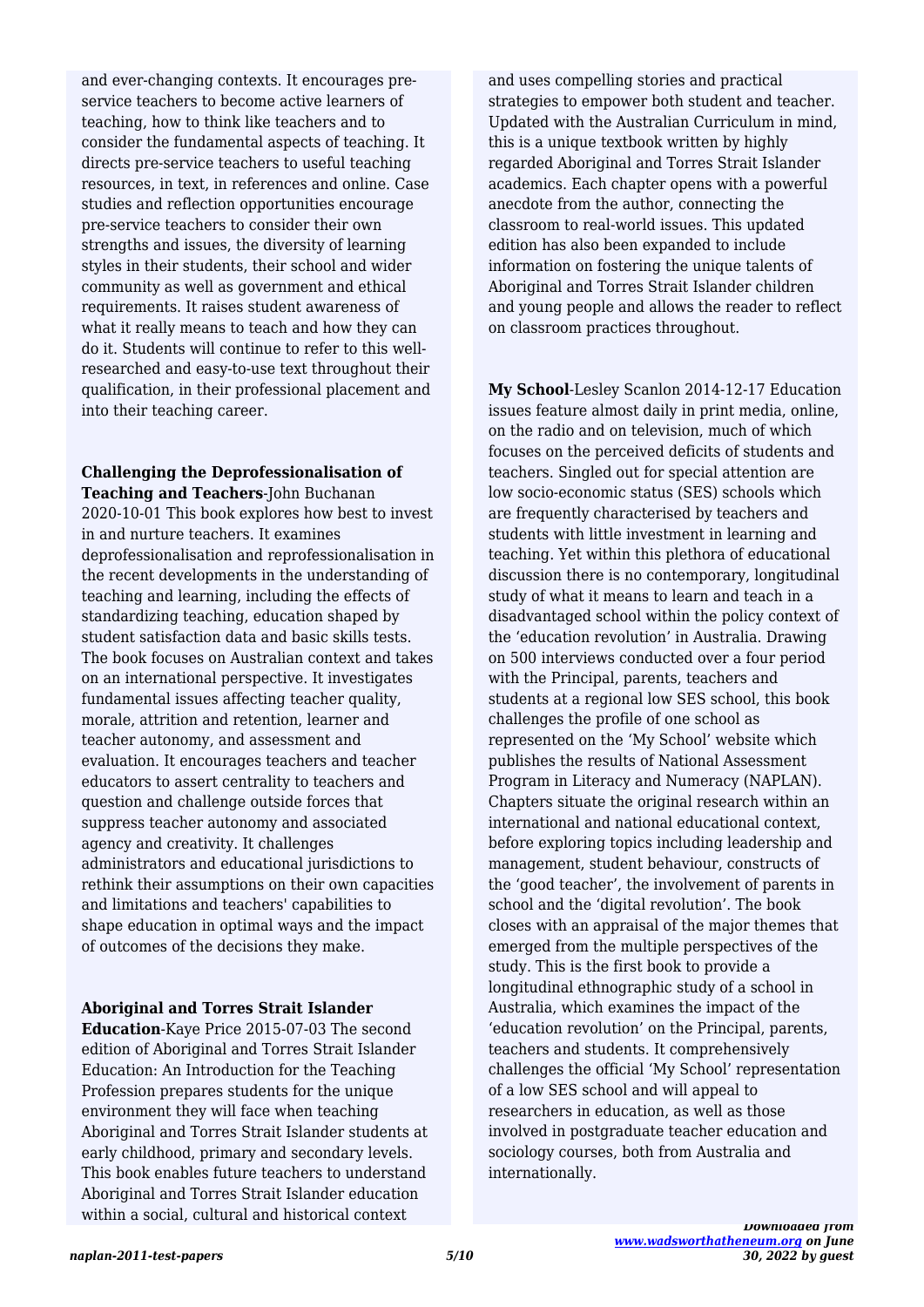and ever-changing contexts. It encourages preservice teachers to become active learners of teaching, how to think like teachers and to consider the fundamental aspects of teaching. It directs pre-service teachers to useful teaching resources, in text, in references and online. Case studies and reflection opportunities encourage pre-service teachers to consider their own strengths and issues, the diversity of learning styles in their students, their school and wider community as well as government and ethical requirements. It raises student awareness of what it really means to teach and how they can do it. Students will continue to refer to this wellresearched and easy-to-use text throughout their qualification, in their professional placement and into their teaching career.

#### **Challenging the Deprofessionalisation of Teaching and Teachers**-John Buchanan

2020-10-01 This book explores how best to invest in and nurture teachers. It examines deprofessionalisation and reprofessionalisation in the recent developments in the understanding of teaching and learning, including the effects of standardizing teaching, education shaped by student satisfaction data and basic skills tests. The book focuses on Australian context and takes on an international perspective. It investigates fundamental issues affecting teacher quality, morale, attrition and retention, learner and teacher autonomy, and assessment and evaluation. It encourages teachers and teacher educators to assert centrality to teachers and question and challenge outside forces that suppress teacher autonomy and associated agency and creativity. It challenges administrators and educational jurisdictions to rethink their assumptions on their own capacities and limitations and teachers' capabilities to shape education in optimal ways and the impact of outcomes of the decisions they make.

## **Aboriginal and Torres Strait Islander**

**Education**-Kaye Price 2015-07-03 The second edition of Aboriginal and Torres Strait Islander Education: An Introduction for the Teaching Profession prepares students for the unique environment they will face when teaching Aboriginal and Torres Strait Islander students at early childhood, primary and secondary levels. This book enables future teachers to understand Aboriginal and Torres Strait Islander education within a social, cultural and historical context

and uses compelling stories and practical strategies to empower both student and teacher. Updated with the Australian Curriculum in mind, this is a unique textbook written by highly regarded Aboriginal and Torres Strait Islander academics. Each chapter opens with a powerful anecdote from the author, connecting the classroom to real-world issues. This updated edition has also been expanded to include information on fostering the unique talents of Aboriginal and Torres Strait Islander children and young people and allows the reader to reflect on classroom practices throughout.

**My School**-Lesley Scanlon 2014-12-17 Education issues feature almost daily in print media, online, on the radio and on television, much of which focuses on the perceived deficits of students and teachers. Singled out for special attention are low socio-economic status (SES) schools which are frequently characterised by teachers and students with little investment in learning and teaching. Yet within this plethora of educational discussion there is no contemporary, longitudinal study of what it means to learn and teach in a disadvantaged school within the policy context of the 'education revolution' in Australia. Drawing on 500 interviews conducted over a four period with the Principal, parents, teachers and students at a regional low SES school, this book challenges the profile of one school as represented on the 'My School' website which publishes the results of National Assessment Program in Literacy and Numeracy (NAPLAN). Chapters situate the original research within an international and national educational context, before exploring topics including leadership and management, student behaviour, constructs of the 'good teacher', the involvement of parents in school and the 'digital revolution'. The book closes with an appraisal of the major themes that emerged from the multiple perspectives of the study. This is the first book to provide a longitudinal ethnographic study of a school in Australia, which examines the impact of the 'education revolution' on the Principal, parents, teachers and students. It comprehensively challenges the official 'My School' representation of a low SES school and will appeal to researchers in education, as well as those involved in postgraduate teacher education and sociology courses, both from Australia and internationally.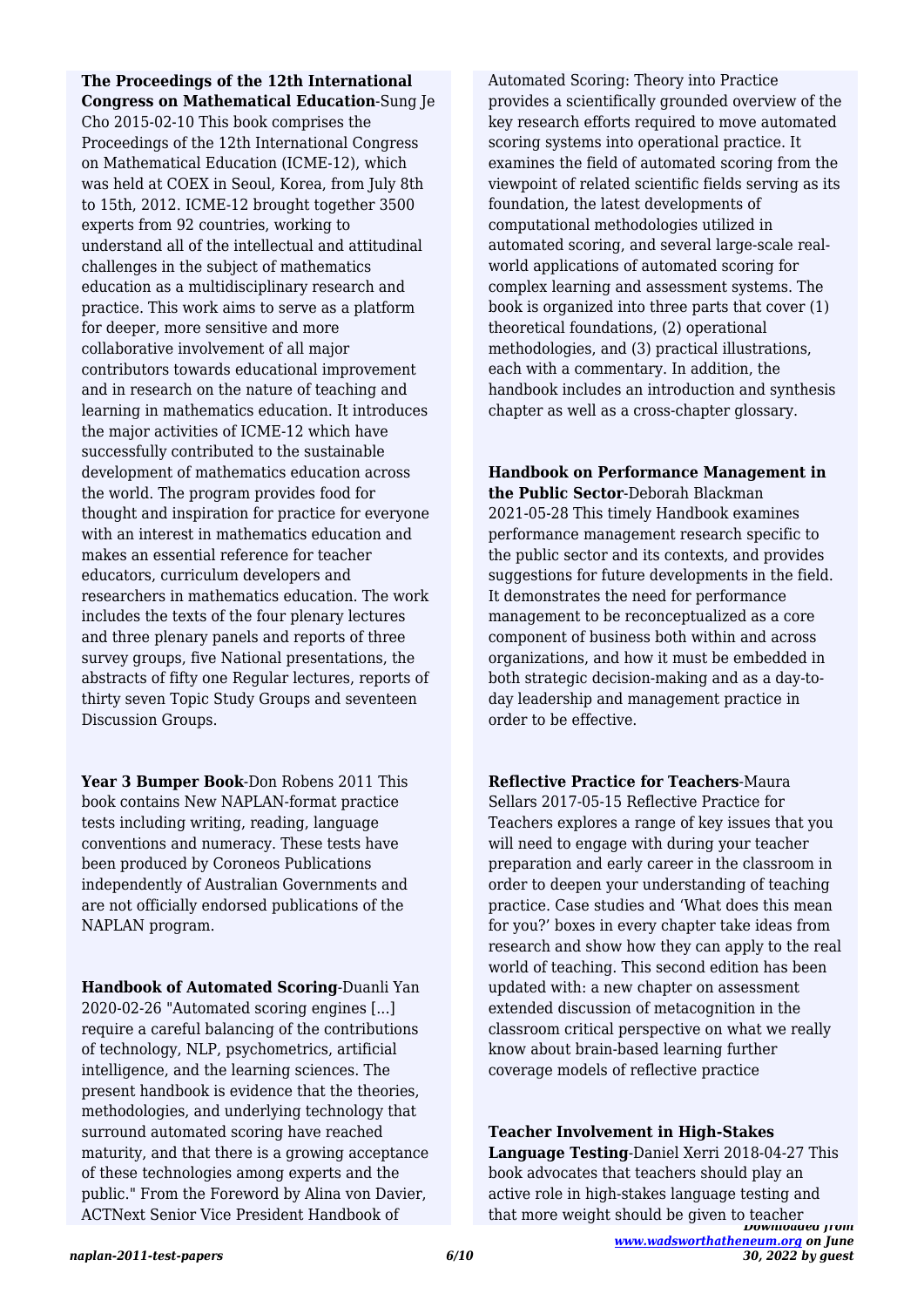## **The Proceedings of the 12th International Congress on Mathematical Education**-Sung Je

Cho 2015-02-10 This book comprises the Proceedings of the 12th International Congress on Mathematical Education (ICME-12), which was held at COEX in Seoul, Korea, from July 8th to 15th, 2012. ICME-12 brought together 3500 experts from 92 countries, working to understand all of the intellectual and attitudinal challenges in the subject of mathematics education as a multidisciplinary research and practice. This work aims to serve as a platform for deeper, more sensitive and more collaborative involvement of all major contributors towards educational improvement and in research on the nature of teaching and learning in mathematics education. It introduces the major activities of ICME-12 which have successfully contributed to the sustainable development of mathematics education across the world. The program provides food for thought and inspiration for practice for everyone with an interest in mathematics education and makes an essential reference for teacher educators, curriculum developers and researchers in mathematics education. The work includes the texts of the four plenary lectures and three plenary panels and reports of three survey groups, five National presentations, the abstracts of fifty one Regular lectures, reports of thirty seven Topic Study Groups and seventeen Discussion Groups.

**Year 3 Bumper Book**-Don Robens 2011 This book contains New NAPLAN-format practice tests including writing, reading, language conventions and numeracy. These tests have been produced by Coroneos Publications independently of Australian Governments and are not officially endorsed publications of the NAPLAN program.

**Handbook of Automated Scoring**-Duanli Yan 2020-02-26 "Automated scoring engines [...] require a careful balancing of the contributions of technology, NLP, psychometrics, artificial intelligence, and the learning sciences. The present handbook is evidence that the theories, methodologies, and underlying technology that surround automated scoring have reached maturity, and that there is a growing acceptance of these technologies among experts and the public." From the Foreword by Alina von Davier, ACTNext Senior Vice President Handbook of

Automated Scoring: Theory into Practice provides a scientifically grounded overview of the key research efforts required to move automated scoring systems into operational practice. It examines the field of automated scoring from the viewpoint of related scientific fields serving as its foundation, the latest developments of computational methodologies utilized in automated scoring, and several large-scale realworld applications of automated scoring for complex learning and assessment systems. The book is organized into three parts that cover (1) theoretical foundations, (2) operational methodologies, and (3) practical illustrations, each with a commentary. In addition, the handbook includes an introduction and synthesis chapter as well as a cross-chapter glossary.

**Handbook on Performance Management in the Public Sector**-Deborah Blackman 2021-05-28 This timely Handbook examines performance management research specific to the public sector and its contexts, and provides suggestions for future developments in the field. It demonstrates the need for performance management to be reconceptualized as a core component of business both within and across organizations, and how it must be embedded in both strategic decision-making and as a day-today leadership and management practice in order to be effective.

**Reflective Practice for Teachers**-Maura Sellars 2017-05-15 Reflective Practice for Teachers explores a range of key issues that you will need to engage with during your teacher preparation and early career in the classroom in order to deepen your understanding of teaching practice. Case studies and 'What does this mean for you?' boxes in every chapter take ideas from research and show how they can apply to the real world of teaching. This second edition has been updated with: a new chapter on assessment extended discussion of metacognition in the classroom critical perspective on what we really know about brain-based learning further coverage models of reflective practice

*Downloaded from* **Teacher Involvement in High-Stakes Language Testing**-Daniel Xerri 2018-04-27 This book advocates that teachers should play an active role in high-stakes language testing and that more weight should be given to teacher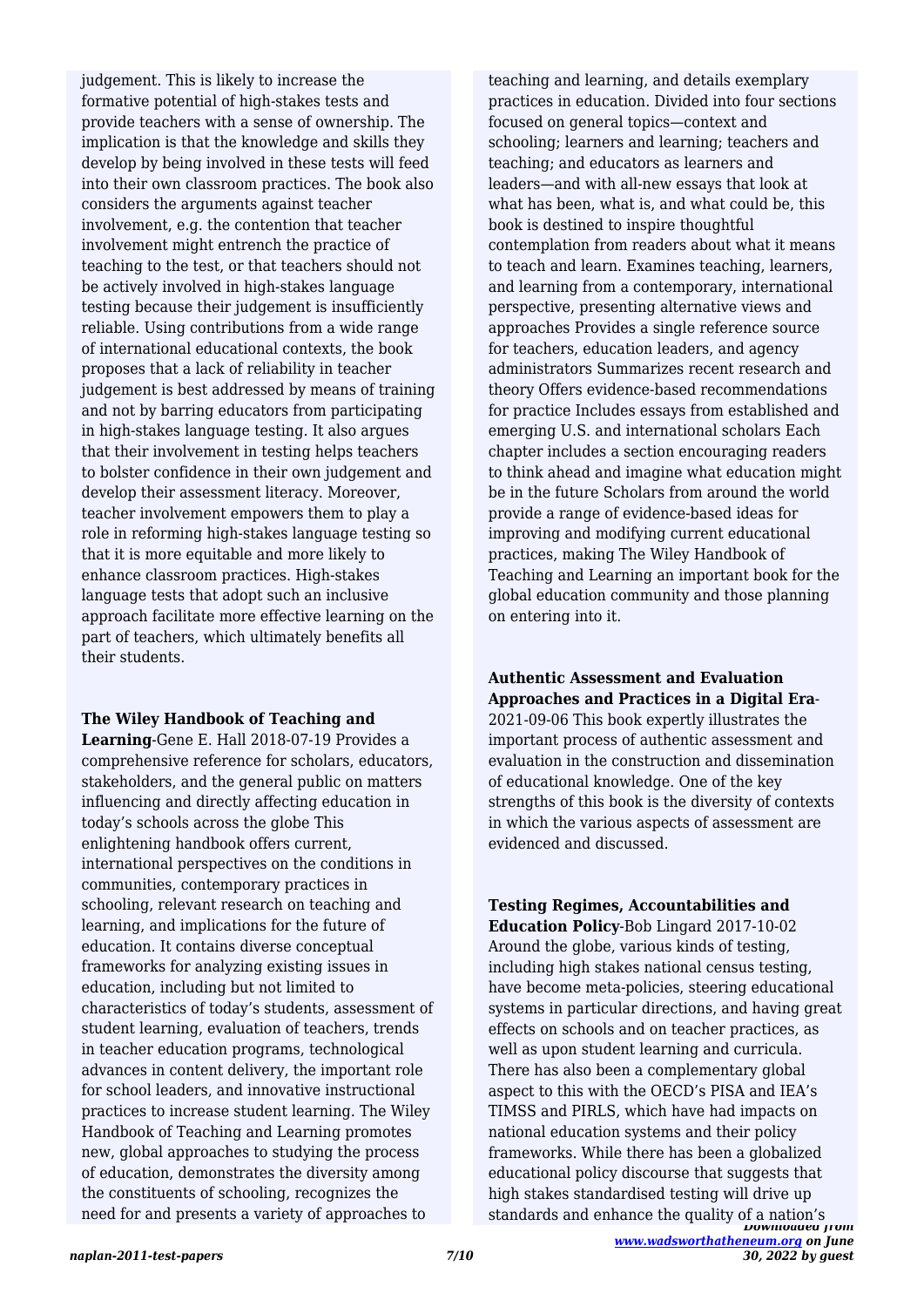judgement. This is likely to increase the formative potential of high-stakes tests and provide teachers with a sense of ownership. The implication is that the knowledge and skills they develop by being involved in these tests will feed into their own classroom practices. The book also considers the arguments against teacher involvement, e.g. the contention that teacher involvement might entrench the practice of teaching to the test, or that teachers should not be actively involved in high-stakes language testing because their judgement is insufficiently reliable. Using contributions from a wide range of international educational contexts, the book proposes that a lack of reliability in teacher judgement is best addressed by means of training and not by barring educators from participating in high-stakes language testing. It also argues that their involvement in testing helps teachers to bolster confidence in their own judgement and develop their assessment literacy. Moreover, teacher involvement empowers them to play a role in reforming high-stakes language testing so that it is more equitable and more likely to enhance classroom practices. High-stakes language tests that adopt such an inclusive approach facilitate more effective learning on the part of teachers, which ultimately benefits all their students.

## **The Wiley Handbook of Teaching and**

**Learning**-Gene E. Hall 2018-07-19 Provides a comprehensive reference for scholars, educators, stakeholders, and the general public on matters influencing and directly affecting education in today's schools across the globe This enlightening handbook offers current, international perspectives on the conditions in communities, contemporary practices in schooling, relevant research on teaching and learning, and implications for the future of education. It contains diverse conceptual frameworks for analyzing existing issues in education, including but not limited to characteristics of today's students, assessment of student learning, evaluation of teachers, trends in teacher education programs, technological advances in content delivery, the important role for school leaders, and innovative instructional practices to increase student learning. The Wiley Handbook of Teaching and Learning promotes new, global approaches to studying the process of education, demonstrates the diversity among the constituents of schooling, recognizes the need for and presents a variety of approaches to

teaching and learning, and details exemplary practices in education. Divided into four sections focused on general topics—context and schooling; learners and learning; teachers and teaching; and educators as learners and leaders—and with all-new essays that look at what has been, what is, and what could be, this book is destined to inspire thoughtful contemplation from readers about what it means to teach and learn. Examines teaching, learners, and learning from a contemporary, international perspective, presenting alternative views and approaches Provides a single reference source for teachers, education leaders, and agency administrators Summarizes recent research and theory Offers evidence-based recommendations for practice Includes essays from established and emerging U.S. and international scholars Each chapter includes a section encouraging readers to think ahead and imagine what education might be in the future Scholars from around the world provide a range of evidence-based ideas for improving and modifying current educational practices, making The Wiley Handbook of Teaching and Learning an important book for the global education community and those planning on entering into it.

# **Authentic Assessment and Evaluation Approaches and Practices in a Digital Era**-

2021-09-06 This book expertly illustrates the important process of authentic assessment and evaluation in the construction and dissemination of educational knowledge. One of the key strengths of this book is the diversity of contexts in which the various aspects of assessment are evidenced and discussed.

# **Testing Regimes, Accountabilities and**

*Downloaded from* **Education Policy**-Bob Lingard 2017-10-02 Around the globe, various kinds of testing, including high stakes national census testing, have become meta-policies, steering educational systems in particular directions, and having great effects on schools and on teacher practices, as well as upon student learning and curricula. There has also been a complementary global aspect to this with the OECD's PISA and IEA's TIMSS and PIRLS, which have had impacts on national education systems and their policy frameworks. While there has been a globalized educational policy discourse that suggests that high stakes standardised testing will drive up standards and enhance the quality of a nation's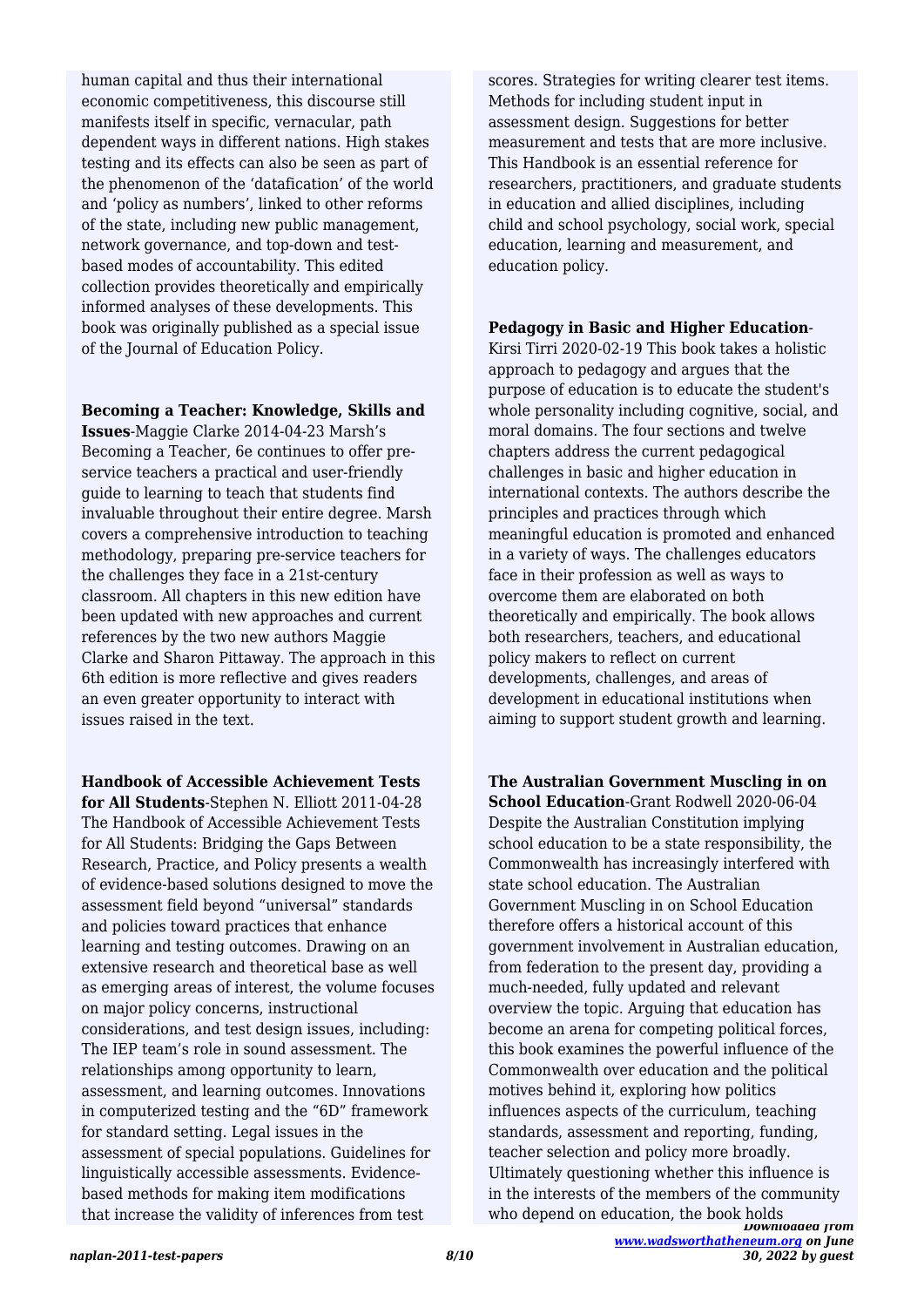human capital and thus their international economic competitiveness, this discourse still manifests itself in specific, vernacular, path dependent ways in different nations. High stakes testing and its effects can also be seen as part of the phenomenon of the 'datafication' of the world and 'policy as numbers', linked to other reforms of the state, including new public management, network governance, and top-down and testbased modes of accountability. This edited collection provides theoretically and empirically informed analyses of these developments. This book was originally published as a special issue of the Journal of Education Policy.

#### **Becoming a Teacher: Knowledge, Skills and**

**Issues**-Maggie Clarke 2014-04-23 Marsh's Becoming a Teacher, 6e continues to offer preservice teachers a practical and user-friendly guide to learning to teach that students find invaluable throughout their entire degree. Marsh covers a comprehensive introduction to teaching methodology, preparing pre-service teachers for the challenges they face in a 21st-century classroom. All chapters in this new edition have been updated with new approaches and current references by the two new authors Maggie Clarke and Sharon Pittaway. The approach in this 6th edition is more reflective and gives readers an even greater opportunity to interact with issues raised in the text.

**Handbook of Accessible Achievement Tests for All Students**-Stephen N. Elliott 2011-04-28 The Handbook of Accessible Achievement Tests for All Students: Bridging the Gaps Between Research, Practice, and Policy presents a wealth of evidence-based solutions designed to move the assessment field beyond "universal" standards and policies toward practices that enhance learning and testing outcomes. Drawing on an extensive research and theoretical base as well as emerging areas of interest, the volume focuses on major policy concerns, instructional considerations, and test design issues, including: The IEP team's role in sound assessment. The relationships among opportunity to learn, assessment, and learning outcomes. Innovations in computerized testing and the "6D" framework for standard setting. Legal issues in the assessment of special populations. Guidelines for linguistically accessible assessments. Evidencebased methods for making item modifications that increase the validity of inferences from test

scores. Strategies for writing clearer test items. Methods for including student input in assessment design. Suggestions for better measurement and tests that are more inclusive. This Handbook is an essential reference for researchers, practitioners, and graduate students in education and allied disciplines, including child and school psychology, social work, special education, learning and measurement, and education policy.

#### **Pedagogy in Basic and Higher Education**-

Kirsi Tirri 2020-02-19 This book takes a holistic approach to pedagogy and argues that the purpose of education is to educate the student's whole personality including cognitive, social, and moral domains. The four sections and twelve chapters address the current pedagogical challenges in basic and higher education in international contexts. The authors describe the principles and practices through which meaningful education is promoted and enhanced in a variety of ways. The challenges educators face in their profession as well as ways to overcome them are elaborated on both theoretically and empirically. The book allows both researchers, teachers, and educational policy makers to reflect on current developments, challenges, and areas of development in educational institutions when aiming to support student growth and learning.

**The Australian Government Muscling in on School Education**-Grant Rodwell 2020-06-04 Despite the Australian Constitution implying school education to be a state responsibility, the Commonwealth has increasingly interfered with state school education. The Australian Government Muscling in on School Education therefore offers a historical account of this government involvement in Australian education, from federation to the present day, providing a much-needed, fully updated and relevant overview the topic. Arguing that education has become an arena for competing political forces, this book examines the powerful influence of the Commonwealth over education and the political motives behind it, exploring how politics influences aspects of the curriculum, teaching standards, assessment and reporting, funding, teacher selection and policy more broadly. Ultimately questioning whether this influence is in the interests of the members of the community who depend on education, the book holds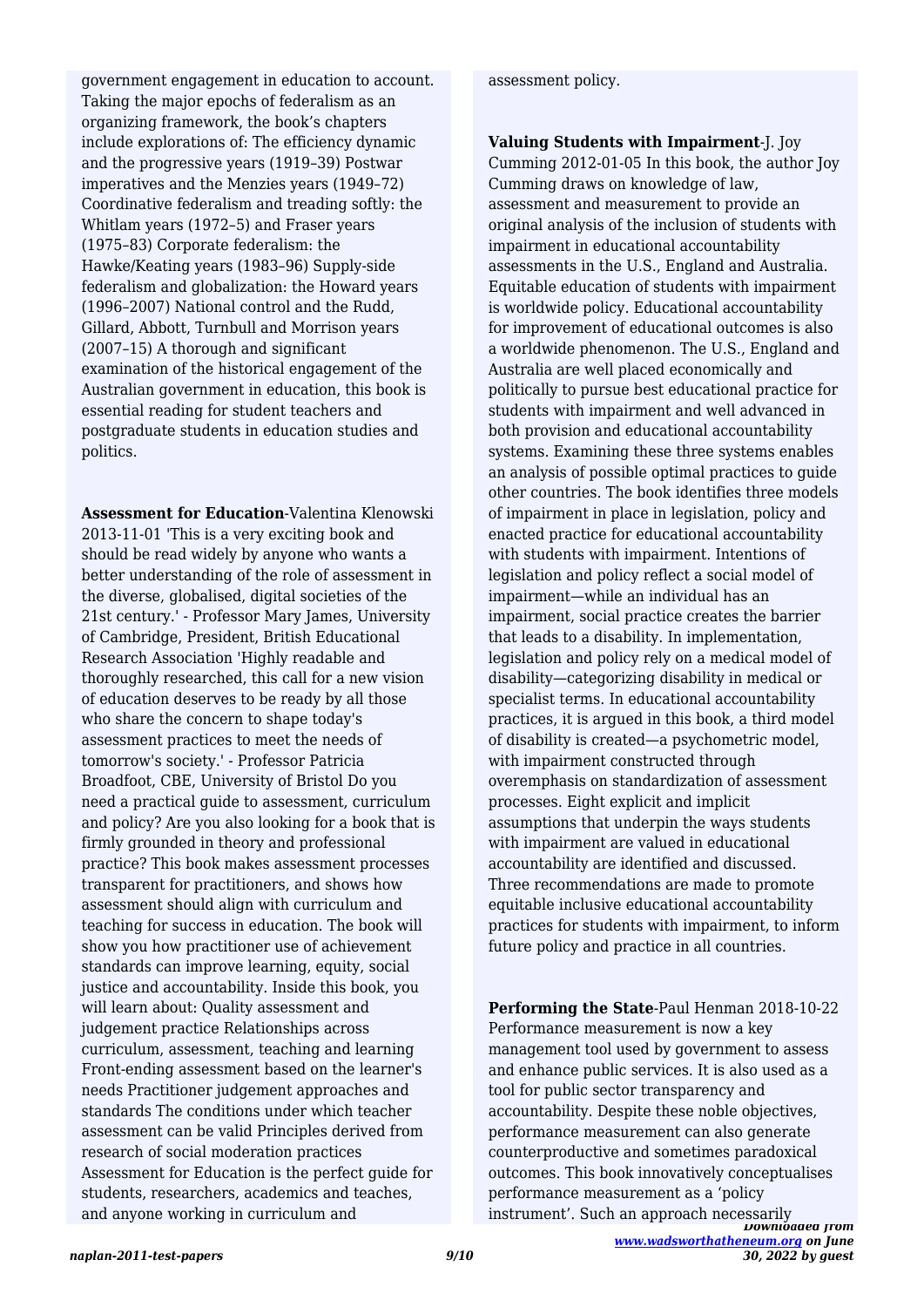government engagement in education to account. Taking the major epochs of federalism as an organizing framework, the book's chapters include explorations of: The efficiency dynamic and the progressive years (1919–39) Postwar imperatives and the Menzies years (1949–72) Coordinative federalism and treading softly: the Whitlam years (1972–5) and Fraser years (1975–83) Corporate federalism: the Hawke/Keating years (1983–96) Supply-side federalism and globalization: the Howard years (1996–2007) National control and the Rudd, Gillard, Abbott, Turnbull and Morrison years (2007–15) A thorough and significant examination of the historical engagement of the Australian government in education, this book is essential reading for student teachers and postgraduate students in education studies and politics.

**Assessment for Education**-Valentina Klenowski 2013-11-01 'This is a very exciting book and should be read widely by anyone who wants a better understanding of the role of assessment in the diverse, globalised, digital societies of the 21st century.' - Professor Mary James, University of Cambridge, President, British Educational Research Association 'Highly readable and thoroughly researched, this call for a new vision of education deserves to be ready by all those who share the concern to shape today's assessment practices to meet the needs of tomorrow's society.' - Professor Patricia Broadfoot, CBE, University of Bristol Do you need a practical guide to assessment, curriculum and policy? Are you also looking for a book that is firmly grounded in theory and professional practice? This book makes assessment processes transparent for practitioners, and shows how assessment should align with curriculum and teaching for success in education. The book will show you how practitioner use of achievement standards can improve learning, equity, social justice and accountability. Inside this book, you will learn about: Quality assessment and judgement practice Relationships across curriculum, assessment, teaching and learning Front-ending assessment based on the learner's needs Practitioner judgement approaches and standards The conditions under which teacher assessment can be valid Principles derived from research of social moderation practices Assessment for Education is the perfect guide for students, researchers, academics and teaches, and anyone working in curriculum and

assessment policy.

**Valuing Students with Impairment**-J. Joy Cumming 2012-01-05 In this book, the author Joy Cumming draws on knowledge of law, assessment and measurement to provide an original analysis of the inclusion of students with impairment in educational accountability assessments in the U.S., England and Australia. Equitable education of students with impairment is worldwide policy. Educational accountability for improvement of educational outcomes is also a worldwide phenomenon. The U.S., England and Australia are well placed economically and politically to pursue best educational practice for students with impairment and well advanced in both provision and educational accountability systems. Examining these three systems enables an analysis of possible optimal practices to guide other countries. The book identifies three models of impairment in place in legislation, policy and enacted practice for educational accountability with students with impairment. Intentions of legislation and policy reflect a social model of impairment—while an individual has an impairment, social practice creates the barrier that leads to a disability. In implementation, legislation and policy rely on a medical model of disability—categorizing disability in medical or specialist terms. In educational accountability practices, it is argued in this book, a third model of disability is created—a psychometric model, with impairment constructed through overemphasis on standardization of assessment processes. Eight explicit and implicit assumptions that underpin the ways students with impairment are valued in educational accountability are identified and discussed. Three recommendations are made to promote equitable inclusive educational accountability practices for students with impairment, to inform future policy and practice in all countries.

*Downloaded from* **Performing the State**-Paul Henman 2018-10-22 Performance measurement is now a key management tool used by government to assess and enhance public services. It is also used as a tool for public sector transparency and accountability. Despite these noble objectives, performance measurement can also generate counterproductive and sometimes paradoxical outcomes. This book innovatively conceptualises performance measurement as a 'policy instrument'. Such an approach necessarily